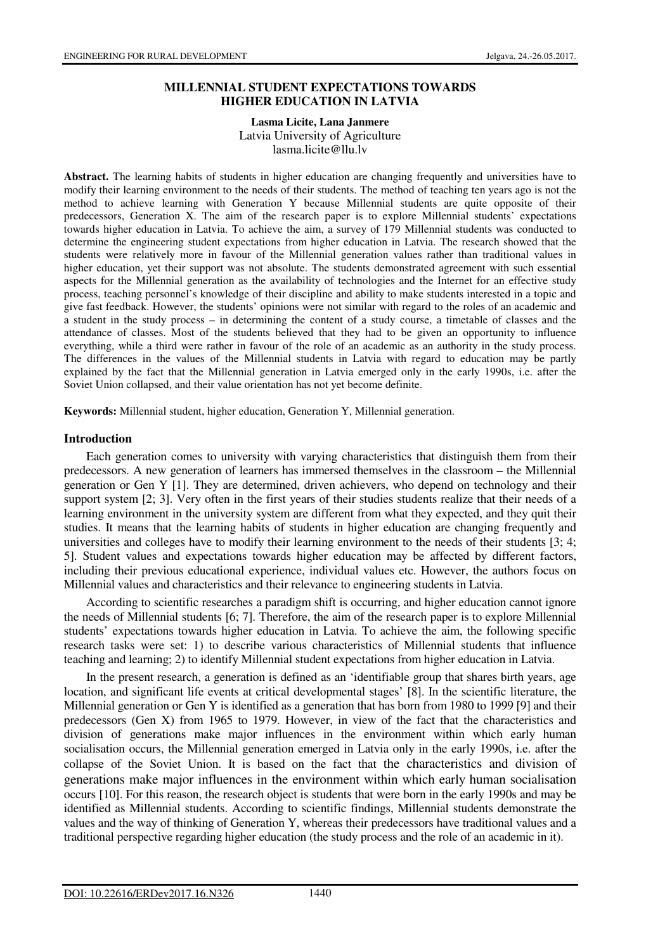### **MILLENNIAL STUDENT EXPECTATIONS TOWARDS HIGHER EDUCATION IN LATVIA**

#### **Lasma Licite, Lana Janmere**  Latvia University of Agriculture

lasma.licite@llu.lv

**Abstract.** The learning habits of students in higher education are changing frequently and universities have to modify their learning environment to the needs of their students. The method of teaching ten years ago is not the method to achieve learning with Generation Y because Millennial students are quite opposite of their predecessors, Generation X. The aim of the research paper is to explore Millennial students' expectations towards higher education in Latvia. To achieve the aim, a survey of 179 Millennial students was conducted to determine the engineering student expectations from higher education in Latvia. The research showed that the students were relatively more in favour of the Millennial generation values rather than traditional values in higher education, yet their support was not absolute. The students demonstrated agreement with such essential aspects for the Millennial generation as the availability of technologies and the Internet for an effective study process, teaching personnel's knowledge of their discipline and ability to make students interested in a topic and give fast feedback. However, the students' opinions were not similar with regard to the roles of an academic and a student in the study process – in determining the content of a study course, a timetable of classes and the attendance of classes. Most of the students believed that they had to be given an opportunity to influence everything, while a third were rather in favour of the role of an academic as an authority in the study process. The differences in the values of the Millennial students in Latvia with regard to education may be partly explained by the fact that the Millennial generation in Latvia emerged only in the early 1990s, i.e. after the Soviet Union collapsed, and their value orientation has not yet become definite.

**Keywords:** Millennial student, higher education, Generation Y, Millennial generation.

#### **Introduction**

Each generation comes to university with varying characteristics that distinguish them from their predecessors. A new generation of learners has immersed themselves in the classroom – the Millennial generation or Gen Y [1]. They are determined, driven achievers, who depend on technology and their support system [2; 3]. Very often in the first years of their studies students realize that their needs of a learning environment in the university system are different from what they expected, and they quit their studies. It means that the learning habits of students in higher education are changing frequently and universities and colleges have to modify their learning environment to the needs of their students [3; 4; 5]. Student values and expectations towards higher education may be affected by different factors, including their previous educational experience, individual values etc. However, the authors focus on Millennial values and characteristics and their relevance to engineering students in Latvia.

According to scientific researches a paradigm shift is occurring, and higher education cannot ignore the needs of Millennial students [6; 7]. Therefore, the aim of the research paper is to explore Millennial students' expectations towards higher education in Latvia. To achieve the aim, the following specific research tasks were set: 1) to describe various characteristics of Millennial students that influence teaching and learning; 2) to identify Millennial student expectations from higher education in Latvia.

In the present research, a generation is defined as an 'identifiable group that shares birth years, age location, and significant life events at critical developmental stages' [8]. In the scientific literature, the Millennial generation or Gen Y is identified as a generation that has born from 1980 to 1999 [9] and their predecessors (Gen X) from 1965 to 1979. However, in view of the fact that the characteristics and division of generations make major influences in the environment within which early human socialisation occurs, the Millennial generation emerged in Latvia only in the early 1990s, i.e. after the collapse of the Soviet Union. It is based on the fact that the characteristics and division of generations make major influences in the environment within which early human socialisation occurs [10]. For this reason, the research object is students that were born in the early 1990s and may be identified as Millennial students. According to scientific findings, Millennial students demonstrate the values and the way of thinking of Generation Y, whereas their predecessors have traditional values and a traditional perspective regarding higher education (the study process and the role of an academic in it).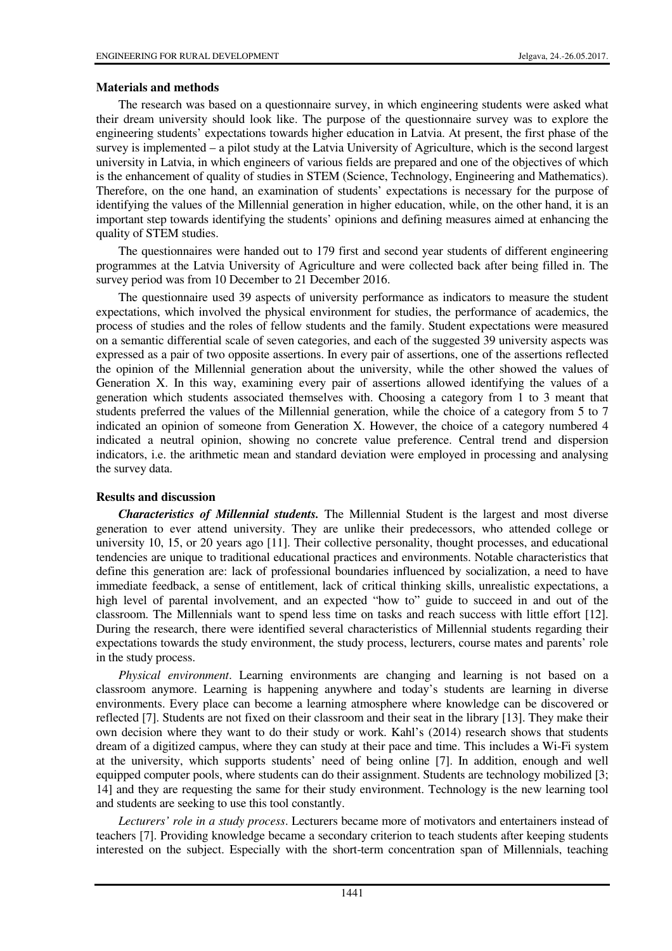# **Materials and methods**

The research was based on a questionnaire survey, in which engineering students were asked what their dream university should look like. The purpose of the questionnaire survey was to explore the engineering students' expectations towards higher education in Latvia. At present, the first phase of the survey is implemented – a pilot study at the Latvia University of Agriculture, which is the second largest university in Latvia, in which engineers of various fields are prepared and one of the objectives of which is the enhancement of quality of studies in STEM (Science, Technology, Engineering and Mathematics). Therefore, on the one hand, an examination of students' expectations is necessary for the purpose of identifying the values of the Millennial generation in higher education, while, on the other hand, it is an important step towards identifying the students' opinions and defining measures aimed at enhancing the quality of STEM studies.

The questionnaires were handed out to 179 first and second year students of different engineering programmes at the Latvia University of Agriculture and were collected back after being filled in. The survey period was from 10 December to 21 December 2016.

The questionnaire used 39 aspects of university performance as indicators to measure the student expectations, which involved the physical environment for studies, the performance of academics, the process of studies and the roles of fellow students and the family. Student expectations were measured on a semantic differential scale of seven categories, and each of the suggested 39 university aspects was expressed as a pair of two opposite assertions. In every pair of assertions, one of the assertions reflected the opinion of the Millennial generation about the university, while the other showed the values of Generation X. In this way, examining every pair of assertions allowed identifying the values of a generation which students associated themselves with. Choosing a category from 1 to 3 meant that students preferred the values of the Millennial generation, while the choice of a category from 5 to 7 indicated an opinion of someone from Generation X. However, the choice of a category numbered 4 indicated a neutral opinion, showing no concrete value preference. Central trend and dispersion indicators, i.e. the arithmetic mean and standard deviation were employed in processing and analysing the survey data.

## **Results and discussion**

*Characteristics of Millennial students.* The Millennial Student is the largest and most diverse generation to ever attend university. They are unlike their predecessors, who attended college or university 10, 15, or 20 years ago [11]. Their collective personality, thought processes, and educational tendencies are unique to traditional educational practices and environments. Notable characteristics that define this generation are: lack of professional boundaries influenced by socialization, a need to have immediate feedback, a sense of entitlement, lack of critical thinking skills, unrealistic expectations, a high level of parental involvement, and an expected "how to" guide to succeed in and out of the classroom. The Millennials want to spend less time on tasks and reach success with little effort [12]. During the research, there were identified several characteristics of Millennial students regarding their expectations towards the study environment, the study process, lecturers, course mates and parents' role in the study process.

*Physical environment*. Learning environments are changing and learning is not based on a classroom anymore. Learning is happening anywhere and today's students are learning in diverse environments. Every place can become a learning atmosphere where knowledge can be discovered or reflected [7]. Students are not fixed on their classroom and their seat in the library [13]. They make their own decision where they want to do their study or work. Kahl's (2014) research shows that students dream of a digitized campus, where they can study at their pace and time. This includes a Wi-Fi system at the university, which supports students' need of being online [7]. In addition, enough and well equipped computer pools, where students can do their assignment. Students are technology mobilized [3; 14] and they are requesting the same for their study environment. Technology is the new learning tool and students are seeking to use this tool constantly.

*Lecturers' role in a study process*. Lecturers became more of motivators and entertainers instead of teachers [7]. Providing knowledge became a secondary criterion to teach students after keeping students interested on the subject. Especially with the short-term concentration span of Millennials, teaching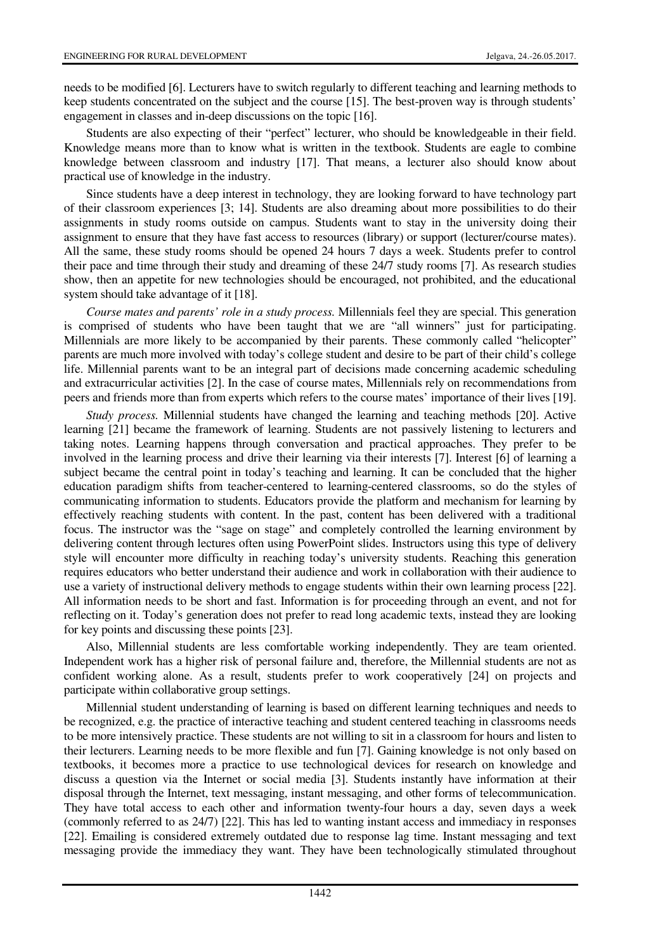needs to be modified [6]. Lecturers have to switch regularly to different teaching and learning methods to keep students concentrated on the subject and the course [15]. The best-proven way is through students' engagement in classes and in-deep discussions on the topic [16].

Students are also expecting of their "perfect" lecturer, who should be knowledgeable in their field. Knowledge means more than to know what is written in the textbook. Students are eagle to combine knowledge between classroom and industry [17]. That means, a lecturer also should know about practical use of knowledge in the industry.

Since students have a deep interest in technology, they are looking forward to have technology part of their classroom experiences [3; 14]. Students are also dreaming about more possibilities to do their assignments in study rooms outside on campus. Students want to stay in the university doing their assignment to ensure that they have fast access to resources (library) or support (lecturer/course mates). All the same, these study rooms should be opened 24 hours 7 days a week. Students prefer to control their pace and time through their study and dreaming of these 24/7 study rooms [7]. As research studies show, then an appetite for new technologies should be encouraged, not prohibited, and the educational system should take advantage of it [18].

*Course mates and parents' role in a study process.* Millennials feel they are special. This generation is comprised of students who have been taught that we are "all winners" just for participating. Millennials are more likely to be accompanied by their parents. These commonly called "helicopter" parents are much more involved with today's college student and desire to be part of their child's college life. Millennial parents want to be an integral part of decisions made concerning academic scheduling and extracurricular activities [2]. In the case of course mates, Millennials rely on recommendations from peers and friends more than from experts which refers to the course mates' importance of their lives [19].

*Study process.* Millennial students have changed the learning and teaching methods [20]. Active learning [21] became the framework of learning. Students are not passively listening to lecturers and taking notes. Learning happens through conversation and practical approaches. They prefer to be involved in the learning process and drive their learning via their interests [7]. Interest [6] of learning a subject became the central point in today's teaching and learning. It can be concluded that the higher education paradigm shifts from teacher-centered to learning-centered classrooms, so do the styles of communicating information to students. Educators provide the platform and mechanism for learning by effectively reaching students with content. In the past, content has been delivered with a traditional focus. The instructor was the "sage on stage" and completely controlled the learning environment by delivering content through lectures often using PowerPoint slides. Instructors using this type of delivery style will encounter more difficulty in reaching today's university students. Reaching this generation requires educators who better understand their audience and work in collaboration with their audience to use a variety of instructional delivery methods to engage students within their own learning process [22]. All information needs to be short and fast. Information is for proceeding through an event, and not for reflecting on it. Today's generation does not prefer to read long academic texts, instead they are looking for key points and discussing these points [23].

Also, Millennial students are less comfortable working independently. They are team oriented. Independent work has a higher risk of personal failure and, therefore, the Millennial students are not as confident working alone. As a result, students prefer to work cooperatively [24] on projects and participate within collaborative group settings.

Millennial student understanding of learning is based on different learning techniques and needs to be recognized, e.g. the practice of interactive teaching and student centered teaching in classrooms needs to be more intensively practice. These students are not willing to sit in a classroom for hours and listen to their lecturers. Learning needs to be more flexible and fun [7]. Gaining knowledge is not only based on textbooks, it becomes more a practice to use technological devices for research on knowledge and discuss a question via the Internet or social media [3]. Students instantly have information at their disposal through the Internet, text messaging, instant messaging, and other forms of telecommunication. They have total access to each other and information twenty-four hours a day, seven days a week (commonly referred to as 24/7) [22]. This has led to wanting instant access and immediacy in responses [22]. Emailing is considered extremely outdated due to response lag time. Instant messaging and text messaging provide the immediacy they want. They have been technologically stimulated throughout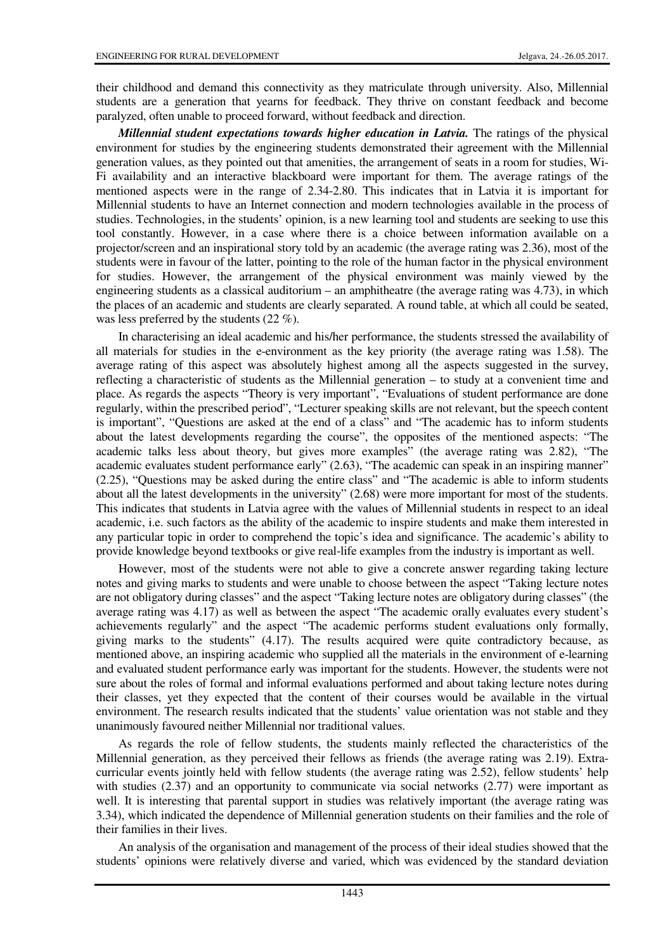their childhood and demand this connectivity as they matriculate through university. Also, Millennial students are a generation that yearns for feedback. They thrive on constant feedback and become paralyzed, often unable to proceed forward, without feedback and direction.

*Millennial student expectations towards higher education in Latvia.* The ratings of the physical environment for studies by the engineering students demonstrated their agreement with the Millennial generation values, as they pointed out that amenities, the arrangement of seats in a room for studies, Wi-Fi availability and an interactive blackboard were important for them. The average ratings of the mentioned aspects were in the range of 2.34-2.80. This indicates that in Latvia it is important for Millennial students to have an Internet connection and modern technologies available in the process of studies. Technologies, in the students' opinion, is a new learning tool and students are seeking to use this tool constantly. However, in a case where there is a choice between information available on a projector/screen and an inspirational story told by an academic (the average rating was 2.36), most of the students were in favour of the latter, pointing to the role of the human factor in the physical environment for studies. However, the arrangement of the physical environment was mainly viewed by the engineering students as a classical auditorium – an amphitheatre (the average rating was 4.73), in which the places of an academic and students are clearly separated. A round table, at which all could be seated, was less preferred by the students (22 %).

In characterising an ideal academic and his/her performance, the students stressed the availability of all materials for studies in the e-environment as the key priority (the average rating was 1.58). The average rating of this aspect was absolutely highest among all the aspects suggested in the survey, reflecting a characteristic of students as the Millennial generation – to study at a convenient time and place. As regards the aspects "Theory is very important", "Evaluations of student performance are done regularly, within the prescribed period", "Lecturer speaking skills are not relevant, but the speech content is important", "Questions are asked at the end of a class" and "The academic has to inform students about the latest developments regarding the course", the opposites of the mentioned aspects: "The academic talks less about theory, but gives more examples" (the average rating was 2.82), "The academic evaluates student performance early" (2.63), "The academic can speak in an inspiring manner" (2.25), "Questions may be asked during the entire class" and "The academic is able to inform students about all the latest developments in the university" (2.68) were more important for most of the students. This indicates that students in Latvia agree with the values of Millennial students in respect to an ideal academic, i.e. such factors as the ability of the academic to inspire students and make them interested in any particular topic in order to comprehend the topic's idea and significance. The academic's ability to provide knowledge beyond textbooks or give real-life examples from the industry is important as well.

However, most of the students were not able to give a concrete answer regarding taking lecture notes and giving marks to students and were unable to choose between the aspect "Taking lecture notes are not obligatory during classes" and the aspect "Taking lecture notes are obligatory during classes" (the average rating was 4.17) as well as between the aspect "The academic orally evaluates every student's achievements regularly" and the aspect "The academic performs student evaluations only formally, giving marks to the students" (4.17). The results acquired were quite contradictory because, as mentioned above, an inspiring academic who supplied all the materials in the environment of e-learning and evaluated student performance early was important for the students. However, the students were not sure about the roles of formal and informal evaluations performed and about taking lecture notes during their classes, yet they expected that the content of their courses would be available in the virtual environment. The research results indicated that the students' value orientation was not stable and they unanimously favoured neither Millennial nor traditional values.

As regards the role of fellow students, the students mainly reflected the characteristics of the Millennial generation, as they perceived their fellows as friends (the average rating was 2.19). Extracurricular events jointly held with fellow students (the average rating was 2.52), fellow students' help with studies (2.37) and an opportunity to communicate via social networks (2.77) were important as well. It is interesting that parental support in studies was relatively important (the average rating was 3.34), which indicated the dependence of Millennial generation students on their families and the role of their families in their lives.

An analysis of the organisation and management of the process of their ideal studies showed that the students' opinions were relatively diverse and varied, which was evidenced by the standard deviation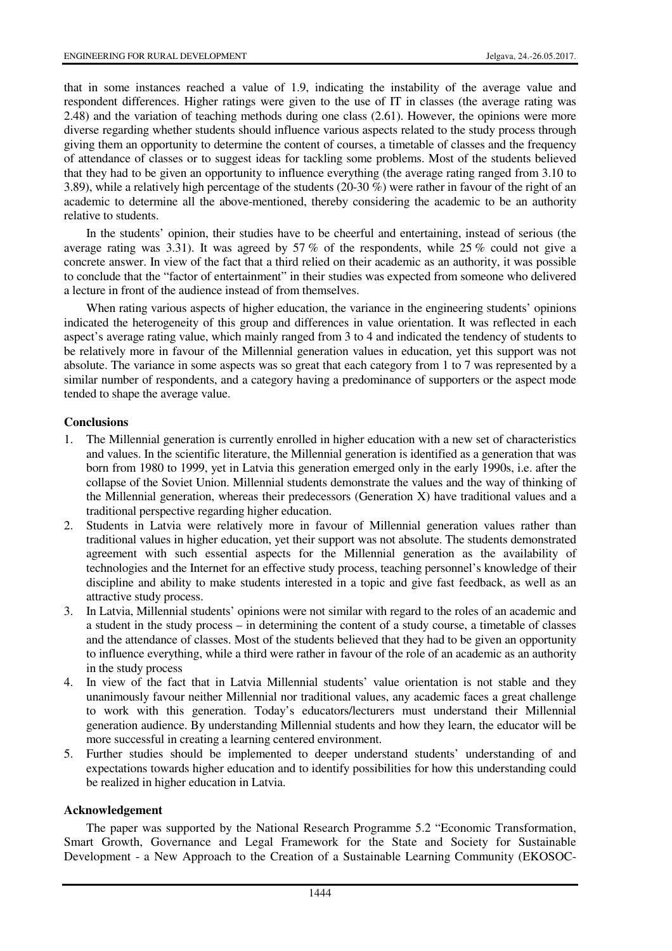that in some instances reached a value of 1.9, indicating the instability of the average value and respondent differences. Higher ratings were given to the use of IT in classes (the average rating was 2.48) and the variation of teaching methods during one class (2.61). However, the opinions were more diverse regarding whether students should influence various aspects related to the study process through giving them an opportunity to determine the content of courses, a timetable of classes and the frequency of attendance of classes or to suggest ideas for tackling some problems. Most of the students believed that they had to be given an opportunity to influence everything (the average rating ranged from 3.10 to 3.89), while a relatively high percentage of the students (20-30 %) were rather in favour of the right of an academic to determine all the above-mentioned, thereby considering the academic to be an authority relative to students.

In the students' opinion, their studies have to be cheerful and entertaining, instead of serious (the average rating was 3.31). It was agreed by 57 % of the respondents, while 25 % could not give a concrete answer. In view of the fact that a third relied on their academic as an authority, it was possible to conclude that the "factor of entertainment" in their studies was expected from someone who delivered a lecture in front of the audience instead of from themselves.

When rating various aspects of higher education, the variance in the engineering students' opinions indicated the heterogeneity of this group and differences in value orientation. It was reflected in each aspect's average rating value, which mainly ranged from 3 to 4 and indicated the tendency of students to be relatively more in favour of the Millennial generation values in education, yet this support was not absolute. The variance in some aspects was so great that each category from 1 to 7 was represented by a similar number of respondents, and a category having a predominance of supporters or the aspect mode tended to shape the average value.

## **Conclusions**

- 1. The Millennial generation is currently enrolled in higher education with a new set of characteristics and values. In the scientific literature, the Millennial generation is identified as a generation that was born from 1980 to 1999, yet in Latvia this generation emerged only in the early 1990s, i.e. after the collapse of the Soviet Union. Millennial students demonstrate the values and the way of thinking of the Millennial generation, whereas their predecessors (Generation X) have traditional values and a traditional perspective regarding higher education.
- 2. Students in Latvia were relatively more in favour of Millennial generation values rather than traditional values in higher education, yet their support was not absolute. The students demonstrated agreement with such essential aspects for the Millennial generation as the availability of technologies and the Internet for an effective study process, teaching personnel's knowledge of their discipline and ability to make students interested in a topic and give fast feedback, as well as an attractive study process.
- 3. In Latvia, Millennial students' opinions were not similar with regard to the roles of an academic and a student in the study process – in determining the content of a study course, a timetable of classes and the attendance of classes. Most of the students believed that they had to be given an opportunity to influence everything, while a third were rather in favour of the role of an academic as an authority in the study process
- 4. In view of the fact that in Latvia Millennial students' value orientation is not stable and they unanimously favour neither Millennial nor traditional values, any academic faces a great challenge to work with this generation. Today's educators/lecturers must understand their Millennial generation audience. By understanding Millennial students and how they learn, the educator will be more successful in creating a learning centered environment.
- 5. Further studies should be implemented to deeper understand students' understanding of and expectations towards higher education and to identify possibilities for how this understanding could be realized in higher education in Latvia.

## **Acknowledgement**

The paper was supported by the National Research Programme 5.2 "Economic Transformation, Smart Growth, Governance and Legal Framework for the State and Society for Sustainable Development - a New Approach to the Creation of a Sustainable Learning Community (EKOSOC-